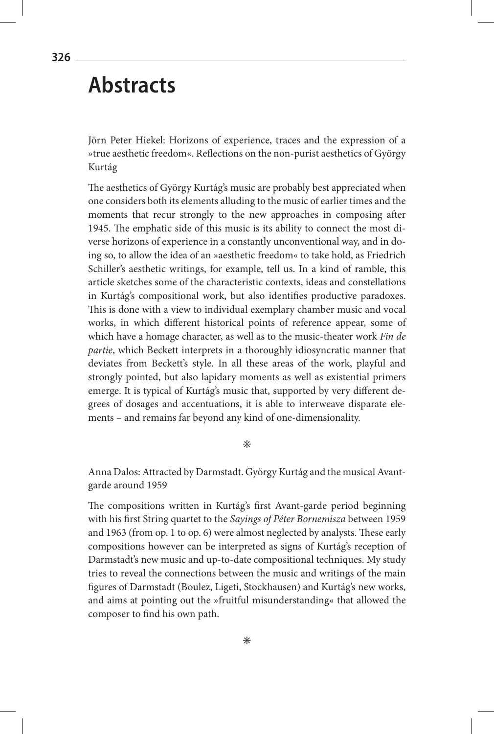# **Abstracts**

Jörn Peter Hiekel: Horizons of experience, traces and the expression of a »true aesthetic freedom«. Reflections on the non-purist aesthetics of György Kurtág

The aesthetics of György Kurtág's music are probably best appreciated when one considers both its elements alluding to the music of earlier times and the moments that recur strongly to the new approaches in composing after 1945. The emphatic side of this music is its ability to connect the most diverse horizons of experience in a constantly unconventional way, and in doing so, to allow the idea of an »aesthetic freedom« to take hold, as Friedrich Schiller's aesthetic writings, for example, tell us. In a kind of ramble, this article sketches some of the characteristic contexts, ideas and constellations in Kurtág's compositional work, but also identifies productive paradoxes. This is done with a view to individual exemplary chamber music and vocal works, in which different historical points of reference appear, some of which have a homage character, as well as to the music-theater work *Fin de partie*, which Beckett interprets in a thoroughly idiosyncratic manner that deviates from Beckett's style. In all these areas of the work, playful and strongly pointed, but also lapidary moments as well as existential primers emerge. It is typical of Kurtág's music that, supported by very different degrees of dosages and accentuations, it is able to interweave disparate elements – and remains far beyond any kind of one-dimensionality.

 $\ast$ 

Anna Dalos: Attracted by Darmstadt. György Kurtág and the musical Avantgarde around 1959

The compositions written in Kurtág's first Avant-garde period beginning with his first String quartet to the *Sayings of Péter Bornemisza* between 1959 and 1963 (from op. 1 to op. 6) were almost neglected by analysts. These early compositions however can be interpreted as signs of Kurtág's reception of Darmstadt's new music and up-to-date compositional techniques. My study tries to reveal the connections between the music and writings of the main figures of Darmstadt (Boulez, Ligeti, Stockhausen) and Kurtág's new works, and aims at pointing out the »fruitful misunderstanding« that allowed the composer to find his own path.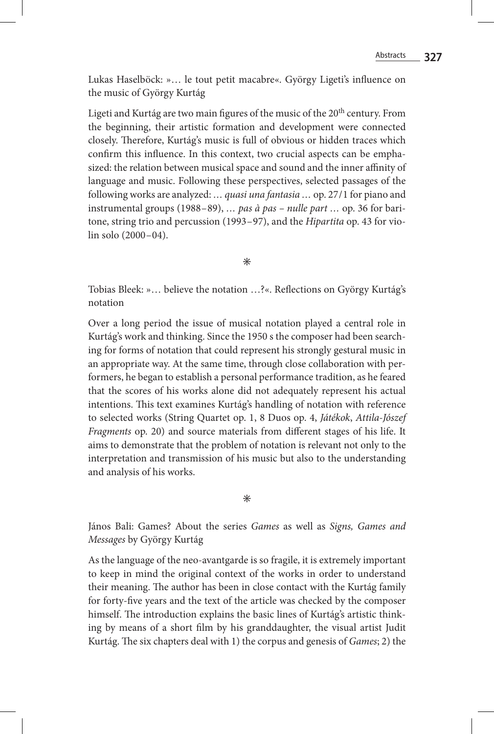Lukas Haselböck: »… le tout petit macabre«. György Ligeti's influence on the music of György Kurtág

Ligeti and Kurtág are two main figures of the music of the 20<sup>th</sup> century. From the beginning, their artistic formation and development were connected closely. Therefore, Kurtág's music is full of obvious or hidden traces which confirm this influence. In this context, two crucial aspects can be emphasized: the relation between musical space and sound and the inner affinity of language and music. Following these perspectives, selected passages of the following works are analyzed: *… quasi una fantasia …* op. 27/1 for piano and instrumental groups (1988–89), *… pas à pas – nulle part …* op. 36 for baritone, string trio and percussion (1993–97), and the *Hipartita* op. 43 for violin solo (2000–04).

 $\ast$ 

Tobias Bleek: »… believe the notation …?«. Reflections on György Kurtág's notation

Over a long period the issue of musical notation played a central role in Kurtág's work and thinking. Since the 1950 s the composer had been searching for forms of notation that could represent his strongly gestural music in an appropriate way. At the same time, through close collaboration with performers, he began to establish a personal performance tradition, as he feared that the scores of his works alone did not adequately represent his actual intentions. This text examines Kurtág's handling of notation with reference to selected works (String Quartet op. 1, 8 Duos op. 4, *Játékok*, *Attila-Jószef Fragments* op. 20) and source materials from different stages of his life. It aims to demonstrate that the problem of notation is relevant not only to the interpretation and transmission of his music but also to the understanding and analysis of his works.

#### $\ast$

János Bali: Games? About the series *Games* as well as *Signs, Games and Messages* by György Kurtág

As the language of the neo-avantgarde is so fragile, it is extremely important to keep in mind the original context of the works in order to understand their meaning. The author has been in close contact with the Kurtág family for forty-five years and the text of the article was checked by the composer himself. The introduction explains the basic lines of Kurtág's artistic thinking by means of a short film by his granddaughter, the visual artist Judit Kurtág. The six chapters deal with 1) the corpus and genesis of *Games*; 2) the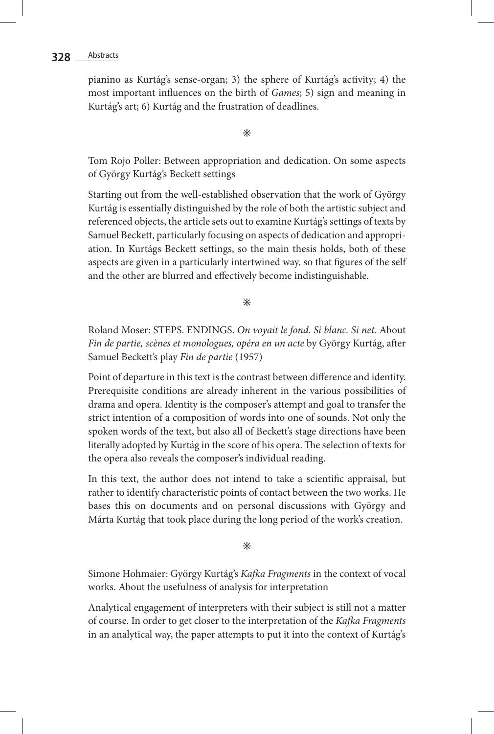## 328 \_ Abstracts

pianino as Kurtág's sense-organ; 3) the sphere of Kurtág's activity; 4) the most important influences on the birth of *Games*; 5) sign and meaning in Kurtág's art; 6) Kurtág and the frustration of deadlines.

 $\ast$ 

Tom Rojo Poller: Between appropriation and dedication. On some aspects of György Kurtág's Beckett settings

Starting out from the well-established observation that the work of György Kurtág is essentially distinguished by the role of both the artistic subject and referenced objects, the article sets out to examine Kurtág's settings of texts by Samuel Beckett, particularly focusing on aspects of dedication and appropriation. In Kurtágs Beckett settings, so the main thesis holds, both of these aspects are given in a particularly intertwined way, so that figures of the self and the other are blurred and effectively become indistinguishable.

 $\ast$ 

Roland Moser: STEPS. ENDINGS. *On voyait le fond. Si blanc. Si net.* About *Fin de partie, scènes et monologues, opéra en un acte* by György Kurtág, after Samuel Beckett's play *Fin de partie* (1957)

Point of departure in this text is the contrast between difference and identity. Prerequisite conditions are already inherent in the various possibilities of drama and opera. Identity is the composer's attempt and goal to transfer the strict intention of a composition of words into one of sounds. Not only the spoken words of the text, but also all of Beckett's stage directions have been literally adopted by Kurtág in the score of his opera. The selection of texts for the opera also reveals the composer's individual reading.

In this text, the author does not intend to take a scientific appraisal, but rather to identify characteristic points of contact between the two works. He bases this on documents and on personal discussions with György and Márta Kurtág that took place during the long period of the work's creation.

 $\ast$ 

Simone Hohmaier: György Kurtág's *Kafka Fragments* in the context of vocal works. About the usefulness of analysis for interpretation

Analytical engagement of interpreters with their subject is still not a matter of course. In order to get closer to the interpretation of the *Kafka Fragments* in an analytical way, the paper attempts to put it into the context of Kurtág's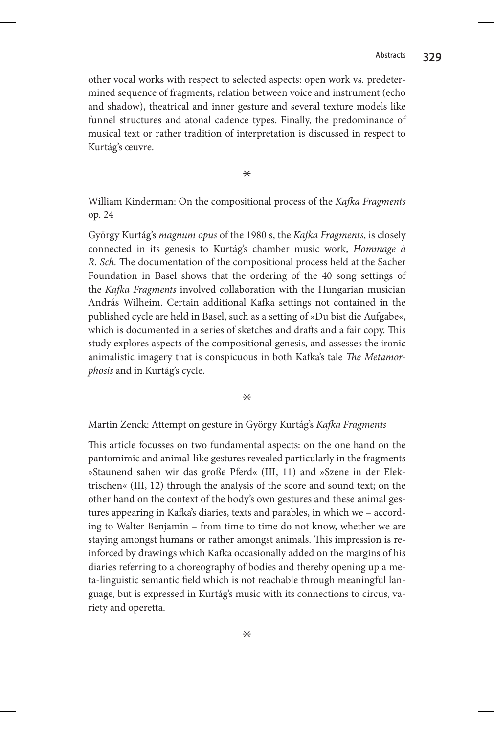other vocal works with respect to selected aspects: open work vs. predetermined sequence of fragments, relation between voice and instrument (echo and shadow), theatrical and inner gesture and several texture models like funnel structures and atonal cadence types. Finally, the predominance of musical text or rather tradition of interpretation is discussed in respect to Kurtág's œuvre.

 $\ast$ 

William Kinderman: On the compositional process of the *Kafka Fragments* op. 24

György Kurtág's *magnum opus* of the 1980 s, the *Kafka Fragments*, is closely connected in its genesis to Kurtág's chamber music work, *Hommage à R. Sch.* The documentation of the compositional process held at the Sacher Foundation in Basel shows that the ordering of the 40 song settings of the *Kafka Fragments* involved collaboration with the Hungarian musician András Wilheim. Certain additional Kafka settings not contained in the published cycle are held in Basel, such as a setting of »Du bist die Aufgabe«, which is documented in a series of sketches and drafts and a fair copy. This study explores aspects of the compositional genesis, and assesses the ironic animalistic imagery that is conspicuous in both Kafka's tale *The Metamorphosis* and in Kurtág's cycle.

 $\ast$ 

#### Martin Zenck: Attempt on gesture in György Kurtág's *Kafka Fragments*

This article focusses on two fundamental aspects: on the one hand on the pantomimic and animal-like gestures revealed particularly in the fragments »Staunend sahen wir das große Pferd« (III, 11) and »Szene in der Elektrischen« (III, 12) through the analysis of the score and sound text; on the other hand on the context of the body's own gestures and these animal gestures appearing in Kafka's diaries, texts and parables, in which we – according to Walter Benjamin – from time to time do not know, whether we are staying amongst humans or rather amongst animals. This impression is reinforced by drawings which Kafka occasionally added on the margins of his diaries referring to a choreography of bodies and thereby opening up a meta-linguistic semantic field which is not reachable through meaningful language, but is expressed in Kurtág's music with its connections to circus, variety and operetta.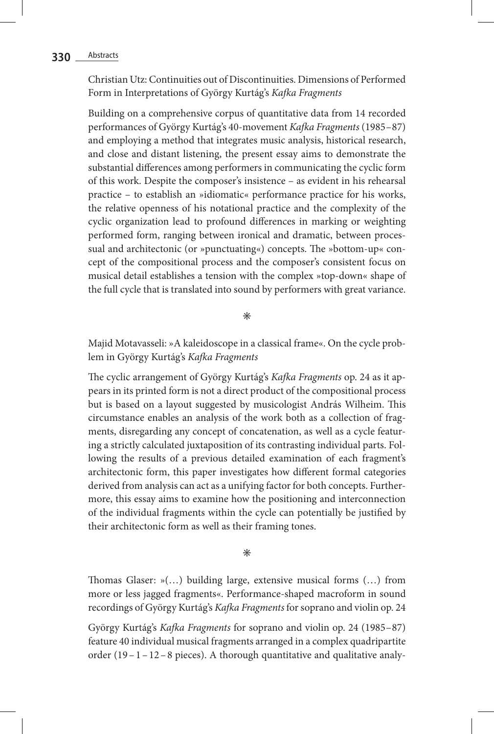### **330** Abstracts

Christian Utz: Continuities out of Discontinuities. Dimensions of Performed Form in Interpretations of György Kurtág's *Kafka Fragments*

Building on a comprehensive corpus of quantitative data from 14 recorded performances of György Kurtág's 40-movement *Kafka Fragments* (1985–87) and employing a method that integrates music analysis, historical research, and close and distant listening, the present essay aims to demonstrate the substantial differences among performers in communicating the cyclic form of this work. Despite the composer's insistence – as evident in his rehearsal practice – to establish an »idiomatic« performance practice for his works, the relative openness of his notational practice and the complexity of the cyclic organization lead to profound differences in marking or weighting performed form, ranging between ironical and dramatic, between processual and architectonic (or »punctuating«) concepts. The »bottom-up« concept of the compositional process and the composer's consistent focus on musical detail establishes a tension with the complex »top-down« shape of the full cycle that is translated into sound by performers with great variance.

 $\ast$ 

Majid Motavasseli: »A kaleidoscope in a classical frame«. On the cycle problem in György Kurtág's *Kafka Fragments*

The cyclic arrangement of György Kurtág's *Kafka Fragments* op. 24 as it appears in its printed form is not a direct product of the compositional process but is based on a layout suggested by musicologist András Wilheim. This circumstance enables an analysis of the work both as a collection of fragments, disregarding any concept of concatenation, as well as a cycle featuring a strictly calculated juxtaposition of its contrasting individual parts. Following the results of a previous detailed examination of each fragment's architectonic form, this paper investigates how different formal categories derived from analysis can act as a unifying factor for both concepts. Furthermore, this essay aims to examine how the positioning and interconnection of the individual fragments within the cycle can potentially be justified by their architectonic form as well as their framing tones.

 $\ast$ 

Thomas Glaser: »(…) building large, extensive musical forms (…) from more or less jagged fragments«. Performance-shaped macroform in sound recordings of György Kurtág's *Kafka Fragments* for soprano and violin op. 24

György Kurtág's *Kafka Fragments* for soprano and violin op. 24 (1985–87) feature 40 individual musical fragments arranged in a complex quadripartite order  $(19-1-12-8$  pieces). A thorough quantitative and qualitative analy